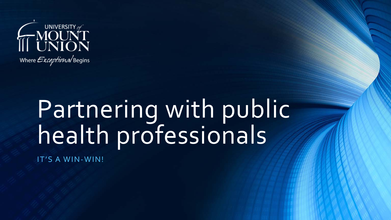

# Partnering with public health professionals

IT'S A WIN-WIN!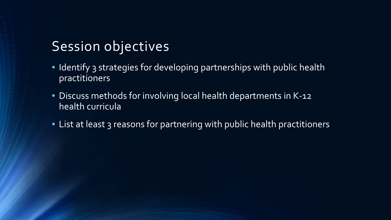### Session objectives

- Identify 3 strategies for developing partnerships with public health practitioners
- Discuss methods for involving local health departments in K-12 health curricula
- List at least 3 reasons for partnering with public health practitioners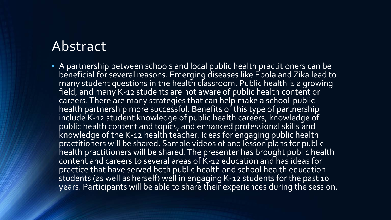### Abstract

• A partnership between schools and local public health practitioners can be beneficial for several reasons. Emerging diseases like Ebola and Zika lead to many student questions in the health classroom. Public health is a growing field, and many K-12 students are not aware of public health content or careers. There are many strategies that can help make a school-public health partnership more successful. Benefits of this type of partnership include K-12 student knowledge of public health careers, knowledge of public health content and topics, and enhanced professional skills and knowledge of the K-12 health teacher. Ideas for engaging public health practitioners will be shared. Sample videos of and lesson plans for public health practitioners will be shared. The presenter has brought public health content and careers to several areas of K-12 education and has ideas for practice that have served both public health and school health education students (as well as herself) well in engaging K-12 students for the past 10 years. Participants will be able to share their experiences during the session.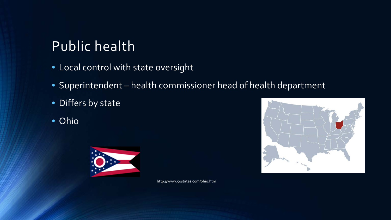# Public health

- Local control with state oversight
- Superintendent health commissioner head of health department
- Differs by state
- Ohio



http://www.50states.com/ohio.htm

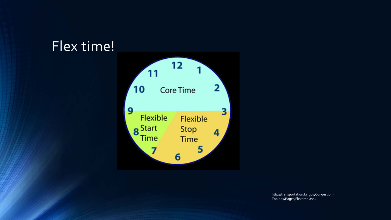### Flex time!



http://transportation.ky.gov/Congestion-Toolbox/Pages/Flextime.aspx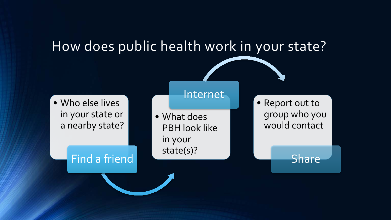

Internet

• Who else lives in your state or a nearby state?

Find a friend

• What does PBH look like in your state(s)?

• Report out to group who you would contact

Share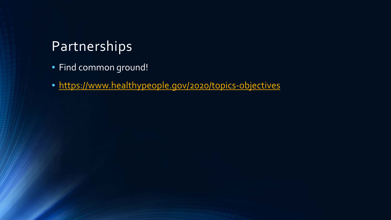### Partnerships

- Find common ground!
- <https://www.healthypeople.gov/2020/topics-objectives>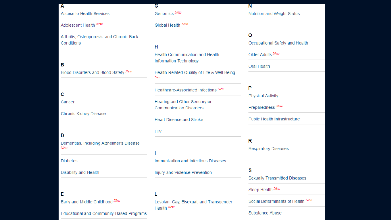| Α                                                       | G                                                              | Ν                                   |
|---------------------------------------------------------|----------------------------------------------------------------|-------------------------------------|
| Access to Health Services                               | Genomics New                                                   | Nutrition and Weight Status         |
| Adolescent Health New                                   | Global Health New                                              |                                     |
| Arthritis, Osteoporosis, and Chronic Back<br>Conditions | н                                                              | О<br>Occupational Safety and Health |
|                                                         | Health Communication and Health<br>Information Technology      | Older Adults New                    |
| в<br>Blood Disorders and Blood Safety New               | Health-Related Quality of Life & Well-Being<br>New             | <b>Oral Health</b>                  |
| c                                                       | Healthcare-Associated Infections New                           | P<br><b>Physical Activity</b>       |
| Cancer                                                  | Hearing and Other Sensory or<br><b>Communication Disorders</b> | Preparedness New                    |
| Chronic Kidney Disease                                  |                                                                |                                     |
|                                                         | <b>Heart Disease and Stroke</b>                                | Public Health Infrastructure        |
| D                                                       | <b>HIV</b>                                                     |                                     |
| Dementias, Including Alzheimer's Disease<br>New         |                                                                | R<br><b>Respiratory Diseases</b>    |
| <b>Diabetes</b>                                         | Immunization and Infectious Diseases                           |                                     |
| Disability and Health                                   | Injury and Violence Prevention                                 | s<br>Sexually Transmitted Diseases  |
| Е                                                       | L                                                              | Sleep Health New                    |
| Early and Middle Childhood New                          | Lesbian, Gay, Bisexual, and Transgender                        | Social Determinants of Health New   |
| Educational and Community-Based Programs                | Health New                                                     | Substance Abuse                     |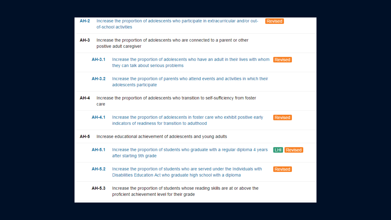| <b>AH-2</b>                                                                     | Increase the proportion of adolescents who participate in extracurricular and/or out-<br>Revised<br>of-school activities |                                                                                                                                                                |
|---------------------------------------------------------------------------------|--------------------------------------------------------------------------------------------------------------------------|----------------------------------------------------------------------------------------------------------------------------------------------------------------|
| AH-3                                                                            |                                                                                                                          | Increase the proportion of adolescents who are connected to a parent or other<br>positive adult caregiver                                                      |
|                                                                                 | AH-3.1                                                                                                                   | Increase the proportion of adolescents who have an adult in their lives with whom Revised<br>they can talk about serious problems                              |
|                                                                                 | AH-3.2                                                                                                                   | Increase the proportion of parents who attend events and activities in which their<br>adolescents participate                                                  |
| AH-4                                                                            | care                                                                                                                     | Increase the proportion of adolescents who transition to self-sufficiency from foster                                                                          |
|                                                                                 | AH-4.1                                                                                                                   | Increase the proportion of adolescents in foster care who exhibit positive early<br>Revised<br>indicators of readiness for transition to adulthood             |
| <b>AH-5</b><br>Increase educational achievement of adolescents and young adults |                                                                                                                          |                                                                                                                                                                |
|                                                                                 | AH-5.1                                                                                                                   | Increase the proportion of students who graduate with a regular diploma 4 years<br>LHI Revised<br>after starting 9th grade                                     |
|                                                                                 | AH-5.2                                                                                                                   | Increase the proportion of students who are served under the Individuals with<br>Revised<br>Disabilities Education Act who graduate high school with a diploma |
|                                                                                 | AH-5.3                                                                                                                   | Increase the proportion of students whose reading skills are at or above the<br>proficient achievement level for their grade                                   |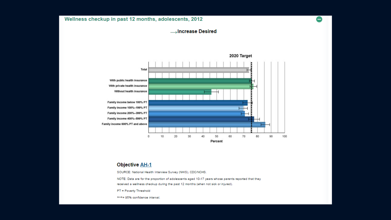#### Wellness checkup in past 12 months, adolescents, 2012

#### **Solution** Desired

-



#### **Objective AH-1**

SOURCE: National Health Interview Survey (NHIS), CDC/NCHS.

NOTE: Data are for the proportion of adolescents aged 10-17 years whose parents reported that they received a wellness checkup during the past 12 months (when not sick or injured).

PT = Poverty Threshold

Hd = 95% confidence interval.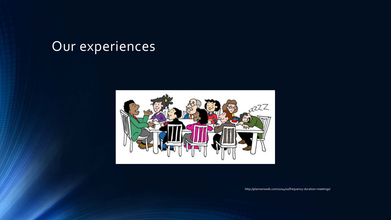# Our experiences



http://plannersweb.com/2014/10/frequency-duration-meetings/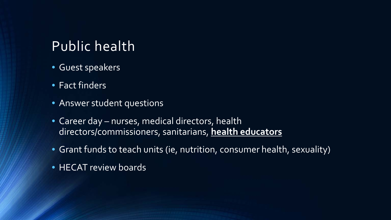### Public health

- Guest speakers
- Fact finders
- Answer student questions
- Career day nurses, medical directors, health directors/commissioners, sanitarians, **health educators**
- Grant funds to teach units (ie, nutrition, consumer health, sexuality)
- HECAT review boards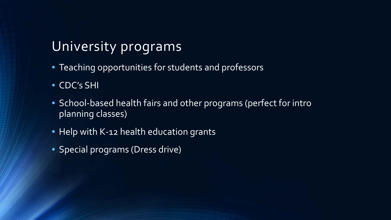# University programs

- Teaching opportunities for students and professors
- CDC's SHI
- School-based health fairs and other programs (perfect for intro planning classes)
- Help with K-12 health education grants
- Special programs (Dress drive)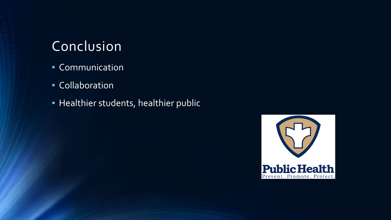### Conclusion

- Communication
- Collaboration
- Healthier students, healthier public